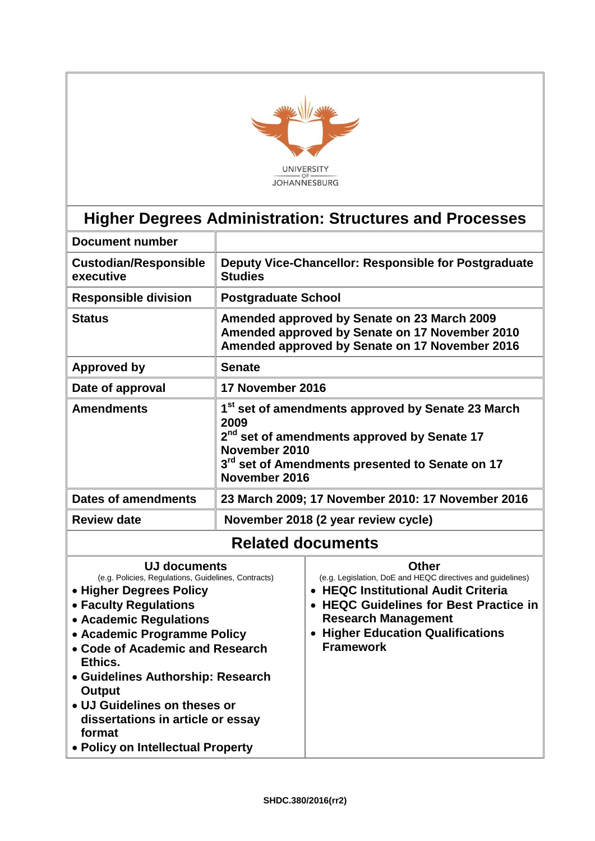

# **Higher Degrees Administration: Structures and Processes**

| <b>Document number</b>                                                                                                                                                                                                                |                                                                                                                                                                                                                                   |                                                                                                                                                                                                                                                                   |  |
|---------------------------------------------------------------------------------------------------------------------------------------------------------------------------------------------------------------------------------------|-----------------------------------------------------------------------------------------------------------------------------------------------------------------------------------------------------------------------------------|-------------------------------------------------------------------------------------------------------------------------------------------------------------------------------------------------------------------------------------------------------------------|--|
| <b>Custodian/Responsible</b><br>executive                                                                                                                                                                                             | Deputy Vice-Chancellor: Responsible for Postgraduate<br><b>Studies</b>                                                                                                                                                            |                                                                                                                                                                                                                                                                   |  |
| <b>Responsible division</b>                                                                                                                                                                                                           | <b>Postgraduate School</b>                                                                                                                                                                                                        |                                                                                                                                                                                                                                                                   |  |
| <b>Status</b>                                                                                                                                                                                                                         | Amended approved by Senate on 23 March 2009<br>Amended approved by Senate on 17 November 2010<br>Amended approved by Senate on 17 November 2016                                                                                   |                                                                                                                                                                                                                                                                   |  |
| Approved by                                                                                                                                                                                                                           | <b>Senate</b>                                                                                                                                                                                                                     |                                                                                                                                                                                                                                                                   |  |
| Date of approval                                                                                                                                                                                                                      | 17 November 2016                                                                                                                                                                                                                  |                                                                                                                                                                                                                                                                   |  |
| <b>Amendments</b>                                                                                                                                                                                                                     | 1 <sup>st</sup> set of amendments approved by Senate 23 March<br>2009<br>2 <sup>nd</sup> set of amendments approved by Senate 17<br>November 2010<br>3 <sup>rd</sup> set of Amendments presented to Senate on 17<br>November 2016 |                                                                                                                                                                                                                                                                   |  |
| <b>Dates of amendments</b>                                                                                                                                                                                                            |                                                                                                                                                                                                                                   | 23 March 2009; 17 November 2010: 17 November 2016                                                                                                                                                                                                                 |  |
| <b>Review date</b>                                                                                                                                                                                                                    |                                                                                                                                                                                                                                   | November 2018 (2 year review cycle)                                                                                                                                                                                                                               |  |
|                                                                                                                                                                                                                                       |                                                                                                                                                                                                                                   | <b>Related documents</b>                                                                                                                                                                                                                                          |  |
| <b>UJ documents</b><br>(e.g. Policies, Regulations, Guidelines, Contracts)<br>• Higher Degrees Policy<br>• Faculty Regulations<br>• Academic Regulations<br>• Academic Programme Policy<br>• Code of Academic and Research<br>Ethics. |                                                                                                                                                                                                                                   | <b>Other</b><br>(e.g. Legislation, DoE and HEQC directives and guidelines)<br><b>HEQC Institutional Audit Criteria</b><br><b>HEQC Guidelines for Best Practice in</b><br><b>Research Management</b><br><b>Higher Education Qualifications</b><br><b>Framework</b> |  |

**Guidelines Authorship: Research** 

**dissertations in article or essay** 

**Policy on Intellectual Property** 

**UJ Guidelines on theses or** 

**Output**

**format**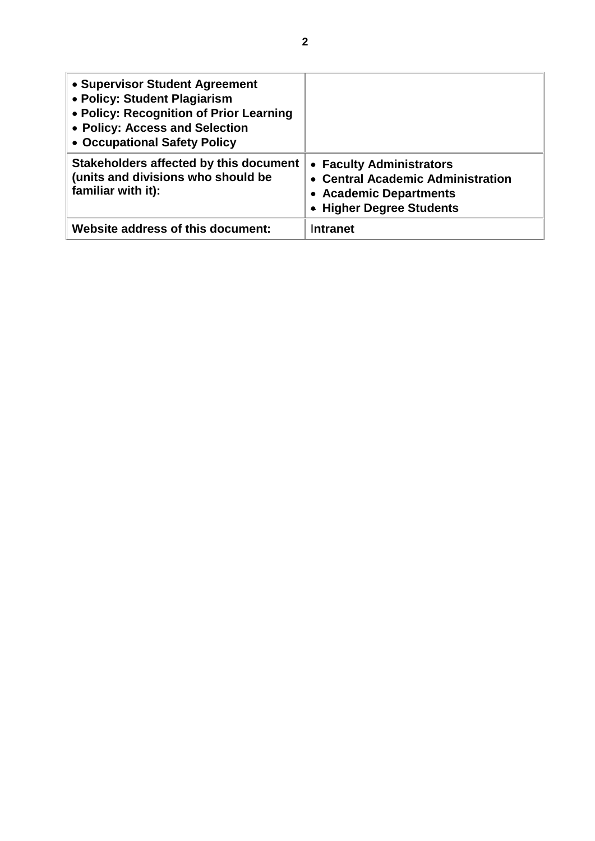| • Supervisor Student Agreement<br>• Policy: Student Plagiarism<br>• Policy: Recognition of Prior Learning<br>• Policy: Access and Selection<br>• Occupational Safety Policy |                                                                                                                     |
|-----------------------------------------------------------------------------------------------------------------------------------------------------------------------------|---------------------------------------------------------------------------------------------------------------------|
| Stakeholders affected by this document<br>(units and divisions who should be<br>familiar with it):                                                                          | • Faculty Administrators<br>• Central Academic Administration<br>• Academic Departments<br>• Higher Degree Students |
| Website address of this document:                                                                                                                                           | Intranet                                                                                                            |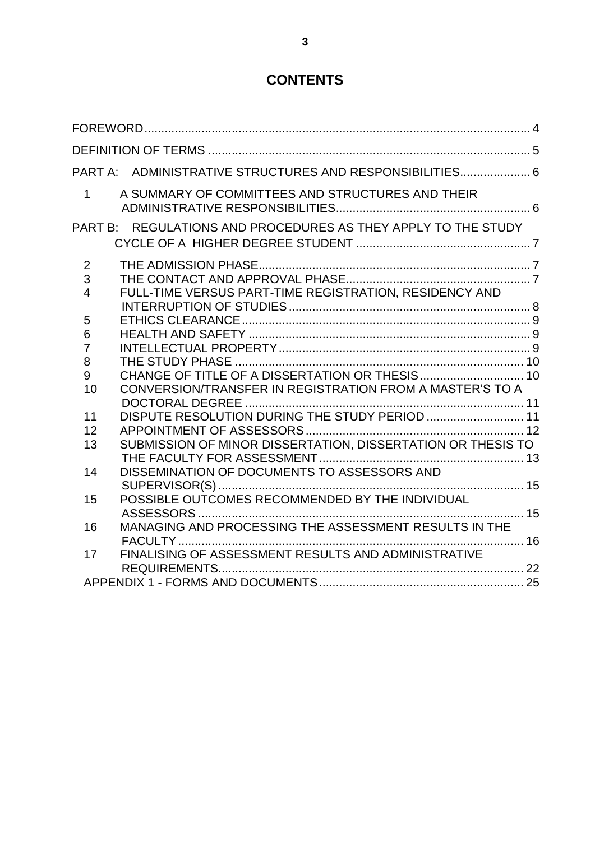## **CONTENTS**

|                | PART A: ADMINISTRATIVE STRUCTURES AND RESPONSIBILITIES 6      |  |
|----------------|---------------------------------------------------------------|--|
| $\mathbf{1}$   | A SUMMARY OF COMMITTEES AND STRUCTURES AND THEIR              |  |
|                | PART B: REGULATIONS AND PROCEDURES AS THEY APPLY TO THE STUDY |  |
| $\overline{2}$ |                                                               |  |
| 3              |                                                               |  |
| $\overline{4}$ | FULL-TIME VERSUS PART-TIME REGISTRATION, RESIDENCY-AND        |  |
|                |                                                               |  |
| 5              |                                                               |  |
| 6              |                                                               |  |
| $\overline{7}$ |                                                               |  |
| 8              |                                                               |  |
| 9              |                                                               |  |
| 10             | CONVERSION/TRANSFER IN REGISTRATION FROM A MASTER'S TO A      |  |
|                | DISPUTE RESOLUTION DURING THE STUDY PERIOD  11                |  |
| 11             |                                                               |  |
| 12<br>13       | SUBMISSION OF MINOR DISSERTATION, DISSERTATION OR THESIS TO   |  |
|                |                                                               |  |
| 14             | DISSEMINATION OF DOCUMENTS TO ASSESSORS AND                   |  |
|                |                                                               |  |
| 15             |                                                               |  |
|                |                                                               |  |
| 16             | MANAGING AND PROCESSING THE ASSESSMENT RESULTS IN THE         |  |
|                |                                                               |  |
| 17             | FINALISING OF ASSESSMENT RESULTS AND ADMINISTRATIVE           |  |
|                |                                                               |  |
|                |                                                               |  |
|                |                                                               |  |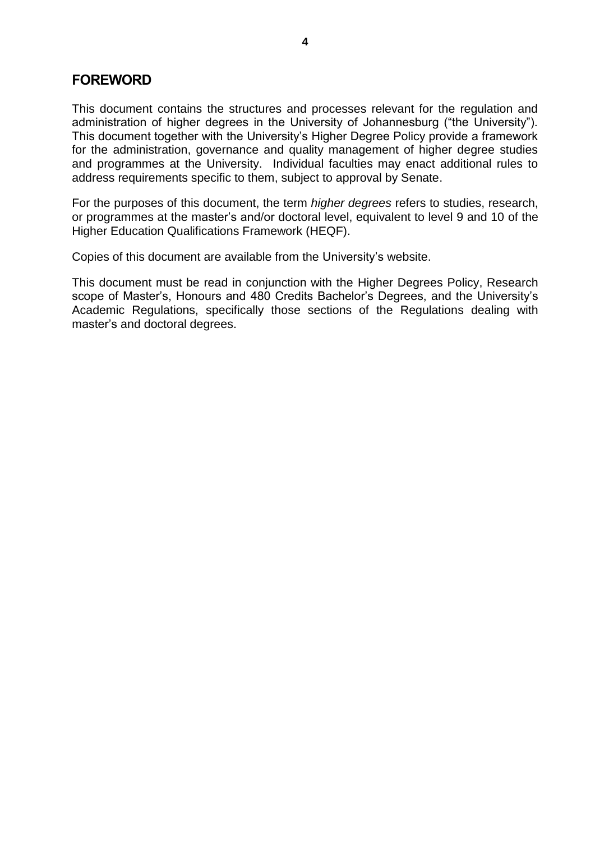#### <span id="page-3-0"></span>**FOREWORD**

This document contains the structures and processes relevant for the regulation and administration of higher degrees in the University of Johannesburg ("the University"). This document together with the University's Higher Degree Policy provide a framework for the administration, governance and quality management of higher degree studies and programmes at the University. Individual faculties may enact additional rules to address requirements specific to them, subject to approval by Senate.

For the purposes of this document, the term *higher degrees* refers to studies, research, or programmes at the master's and/or doctoral level, equivalent to level 9 and 10 of the Higher Education Qualifications Framework (HEQF).

Copies of this document are available from the University's website.

This document must be read in conjunction with the Higher Degrees Policy, Research scope of Master's, Honours and 480 Credits Bachelor's Degrees, and the University's Academic Regulations, specifically those sections of the Regulations dealing with master's and doctoral degrees.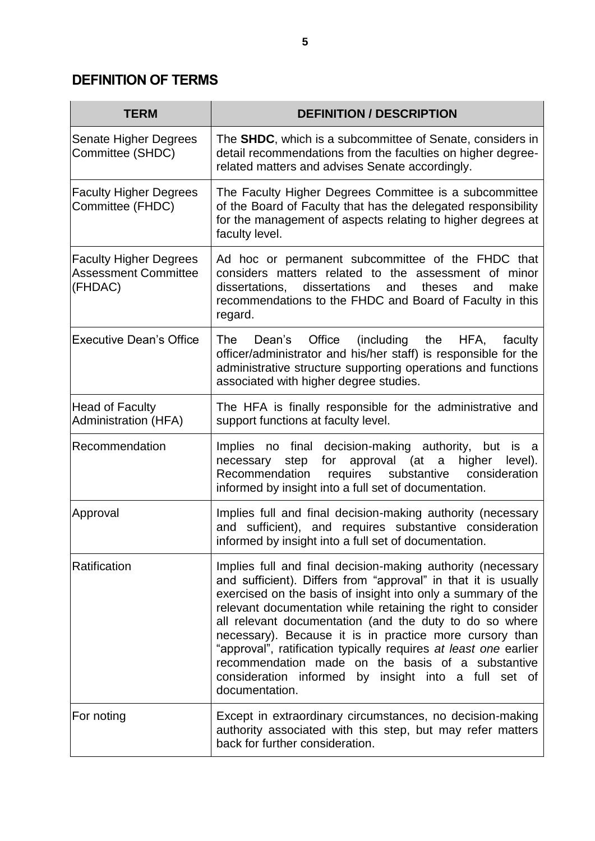## <span id="page-4-0"></span>**DEFINITION OF TERMS**

| <b>TERM</b>                                                             | <b>DEFINITION / DESCRIPTION</b>                                                                                                                                                                                                                                                                                                                                                                                                                                                                                                                                                        |
|-------------------------------------------------------------------------|----------------------------------------------------------------------------------------------------------------------------------------------------------------------------------------------------------------------------------------------------------------------------------------------------------------------------------------------------------------------------------------------------------------------------------------------------------------------------------------------------------------------------------------------------------------------------------------|
| Senate Higher Degrees<br>Committee (SHDC)                               | The <b>SHDC</b> , which is a subcommittee of Senate, considers in<br>detail recommendations from the faculties on higher degree-<br>related matters and advises Senate accordingly.                                                                                                                                                                                                                                                                                                                                                                                                    |
| <b>Faculty Higher Degrees</b><br>Committee (FHDC)                       | The Faculty Higher Degrees Committee is a subcommittee<br>of the Board of Faculty that has the delegated responsibility<br>for the management of aspects relating to higher degrees at<br>faculty level.                                                                                                                                                                                                                                                                                                                                                                               |
| <b>Faculty Higher Degrees</b><br><b>Assessment Committee</b><br>(FHDAC) | Ad hoc or permanent subcommittee of the FHDC that<br>considers matters related to the assessment of<br>minor<br>dissertations, dissertations<br>make<br>and<br>theses<br>and<br>recommendations to the FHDC and Board of Faculty in this<br>regard.                                                                                                                                                                                                                                                                                                                                    |
| <b>Executive Dean's Office</b>                                          | Office (including<br>The<br>Dean's<br>the<br>HFA,<br>faculty<br>officer/administrator and his/her staff) is responsible for the<br>administrative structure supporting operations and functions<br>associated with higher degree studies.                                                                                                                                                                                                                                                                                                                                              |
| <b>Head of Faculty</b><br><b>Administration (HFA)</b>                   | The HFA is finally responsible for the administrative and<br>support functions at faculty level.                                                                                                                                                                                                                                                                                                                                                                                                                                                                                       |
| Recommendation                                                          | no final decision-making authority, but is a<br><b>Implies</b><br>step for approval (at a higher<br>level).<br>necessary<br>requires<br>Recommendation<br>substantive<br>consideration<br>informed by insight into a full set of documentation.                                                                                                                                                                                                                                                                                                                                        |
| Approval                                                                | Implies full and final decision-making authority (necessary<br>and sufficient), and requires substantive consideration<br>informed by insight into a full set of documentation.                                                                                                                                                                                                                                                                                                                                                                                                        |
| Ratification                                                            | Implies full and final decision-making authority (necessary<br>and sufficient). Differs from "approval" in that it is usually<br>exercised on the basis of insight into only a summary of the<br>relevant documentation while retaining the right to consider<br>all relevant documentation (and the duty to do so where<br>necessary). Because it is in practice more cursory than<br>"approval", ratification typically requires at least one earlier<br>recommendation made on the basis of a substantive<br>consideration informed by insight into a full set of<br>documentation. |
| For noting                                                              | Except in extraordinary circumstances, no decision-making<br>authority associated with this step, but may refer matters<br>back for further consideration.                                                                                                                                                                                                                                                                                                                                                                                                                             |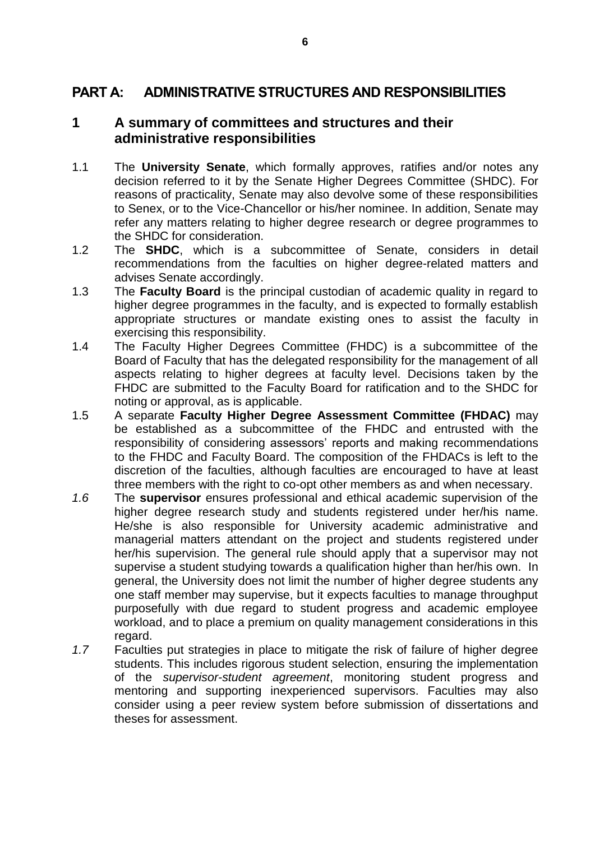### <span id="page-5-0"></span>**PART A: ADMINISTRATIVE STRUCTURES AND RESPONSIBILITIES**

#### <span id="page-5-1"></span>**1 A summary of committees and structures and their administrative responsibilities**

- 1.1 The **University Senate**, which formally approves, ratifies and/or notes any decision referred to it by the Senate Higher Degrees Committee (SHDC). For reasons of practicality, Senate may also devolve some of these responsibilities to Senex, or to the Vice-Chancellor or his/her nominee. In addition, Senate may refer any matters relating to higher degree research or degree programmes to the SHDC for consideration.
- 1.2 The **SHDC**, which is a subcommittee of Senate, considers in detail recommendations from the faculties on higher degree-related matters and advises Senate accordingly.
- 1.3 The **Faculty Board** is the principal custodian of academic quality in regard to higher degree programmes in the faculty, and is expected to formally establish appropriate structures or mandate existing ones to assist the faculty in exercising this responsibility.
- 1.4 The Faculty Higher Degrees Committee (FHDC) is a subcommittee of the Board of Faculty that has the delegated responsibility for the management of all aspects relating to higher degrees at faculty level. Decisions taken by the FHDC are submitted to the Faculty Board for ratification and to the SHDC for noting or approval, as is applicable.
- 1.5 A separate **Faculty Higher Degree Assessment Committee (FHDAC)** may be established as a subcommittee of the FHDC and entrusted with the responsibility of considering assessors' reports and making recommendations to the FHDC and Faculty Board. The composition of the FHDACs is left to the discretion of the faculties, although faculties are encouraged to have at least three members with the right to co-opt other members as and when necessary.
- *1.6* The **supervisor** ensures professional and ethical academic supervision of the higher degree research study and students registered under her/his name. He/she is also responsible for University academic administrative and managerial matters attendant on the project and students registered under her/his supervision. The general rule should apply that a supervisor may not supervise a student studying towards a qualification higher than her/his own. In general, the University does not limit the number of higher degree students any one staff member may supervise, but it expects faculties to manage throughput purposefully with due regard to student progress and academic employee workload, and to place a premium on quality management considerations in this regard.
- *1.7* Faculties put strategies in place to mitigate the risk of failure of higher degree students. This includes rigorous student selection, ensuring the implementation of the *supervisor-student agreement*, monitoring student progress and mentoring and supporting inexperienced supervisors. Faculties may also consider using a peer review system before submission of dissertations and theses for assessment.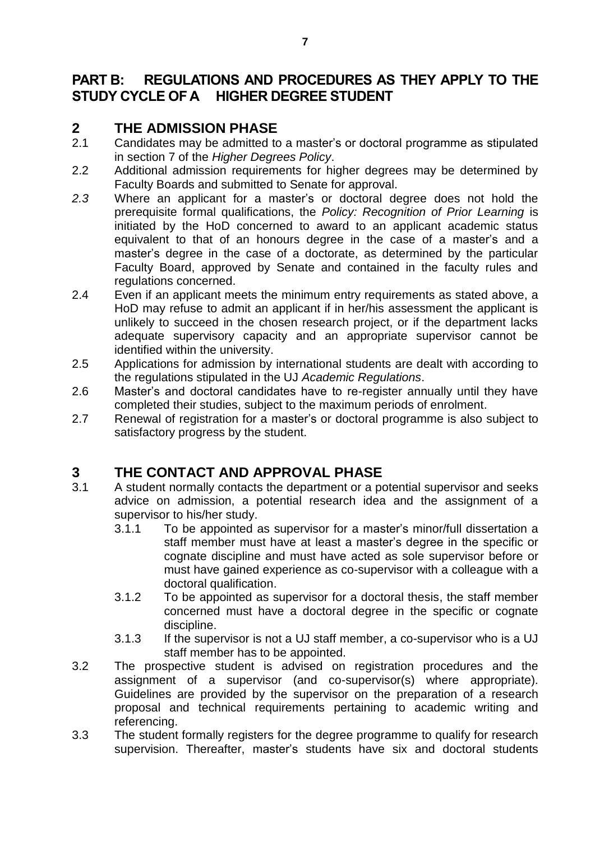### <span id="page-6-0"></span>**PART B: REGULATIONS AND PROCEDURES AS THEY APPLY TO THE STUDY CYCLE OF A HIGHER DEGREE STUDENT**

### <span id="page-6-1"></span>**2 THE ADMISSION PHASE**

- 2.1 Candidates may be admitted to a master's or doctoral programme as stipulated in section 7 of the *Higher Degrees Policy*.
- 2.2 Additional admission requirements for higher degrees may be determined by Faculty Boards and submitted to Senate for approval.
- *2.3* Where an applicant for a master's or doctoral degree does not hold the prerequisite formal qualifications, the *Policy: Recognition of Prior Learning* is initiated by the HoD concerned to award to an applicant academic status equivalent to that of an honours degree in the case of a master's and a master's degree in the case of a doctorate, as determined by the particular Faculty Board, approved by Senate and contained in the faculty rules and regulations concerned.
- 2.4 Even if an applicant meets the minimum entry requirements as stated above, a HoD may refuse to admit an applicant if in her/his assessment the applicant is unlikely to succeed in the chosen research project, or if the department lacks adequate supervisory capacity and an appropriate supervisor cannot be identified within the university.
- 2.5 Applications for admission by international students are dealt with according to the regulations stipulated in the UJ *Academic Regulations*.
- 2.6 Master's and doctoral candidates have to re-register annually until they have completed their studies, subject to the maximum periods of enrolment.
- 2.7 Renewal of registration for a master's or doctoral programme is also subject to satisfactory progress by the student.

## <span id="page-6-2"></span>**3 THE CONTACT AND APPROVAL PHASE**

- 3.1 A student normally contacts the department or a potential supervisor and seeks advice on admission, a potential research idea and the assignment of a supervisor to his/her study.
	- 3.1.1 To be appointed as supervisor for a master's minor/full dissertation a staff member must have at least a master's degree in the specific or cognate discipline and must have acted as sole supervisor before or must have gained experience as co-supervisor with a colleague with a doctoral qualification.
	- 3.1.2 To be appointed as supervisor for a doctoral thesis, the staff member concerned must have a doctoral degree in the specific or cognate discipline.
	- 3.1.3 If the supervisor is not a UJ staff member, a co-supervisor who is a UJ staff member has to be appointed.
- 3.2 The prospective student is advised on registration procedures and the assignment of a supervisor (and co-supervisor(s) where appropriate). Guidelines are provided by the supervisor on the preparation of a research proposal and technical requirements pertaining to academic writing and referencing.
- 3.3 The student formally registers for the degree programme to qualify for research supervision. Thereafter, master's students have six and doctoral students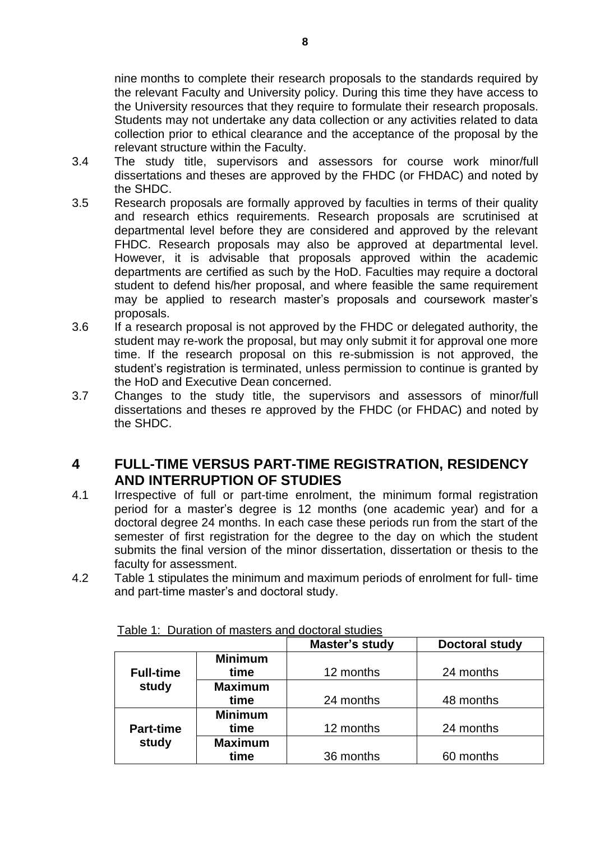nine months to complete their research proposals to the standards required by the relevant Faculty and University policy. During this time they have access to the University resources that they require to formulate their research proposals. Students may not undertake any data collection or any activities related to data collection prior to ethical clearance and the acceptance of the proposal by the relevant structure within the Faculty.

- 3.4 The study title, supervisors and assessors for course work minor/full dissertations and theses are approved by the FHDC (or FHDAC) and noted by the SHDC.
- 3.5 Research proposals are formally approved by faculties in terms of their quality and research ethics requirements. Research proposals are scrutinised at departmental level before they are considered and approved by the relevant FHDC. Research proposals may also be approved at departmental level. However, it is advisable that proposals approved within the academic departments are certified as such by the HoD. Faculties may require a doctoral student to defend his/her proposal, and where feasible the same requirement may be applied to research master's proposals and coursework master's proposals.
- 3.6 If a research proposal is not approved by the FHDC or delegated authority, the student may re-work the proposal, but may only submit it for approval one more time. If the research proposal on this re-submission is not approved, the student's registration is terminated, unless permission to continue is granted by the HoD and Executive Dean concerned.
- 3.7 Changes to the study title, the supervisors and assessors of minor/full dissertations and theses re approved by the FHDC (or FHDAC) and noted by the SHDC.

### <span id="page-7-0"></span>**4 FULL-TIME VERSUS PART-TIME REGISTRATION, RESIDENCY AND INTERRUPTION OF STUDIES**

- 4.1 Irrespective of full or part-time enrolment, the minimum formal registration period for a master's degree is 12 months (one academic year) and for a doctoral degree 24 months. In each case these periods run from the start of the semester of first registration for the degree to the day on which the student submits the final version of the minor dissertation, dissertation or thesis to the faculty for assessment.
- 4.2 Table 1 stipulates the minimum and maximum periods of enrolment for full- time and part-time master's and doctoral study.

|                  |                | Master's study | <b>Doctoral study</b> |
|------------------|----------------|----------------|-----------------------|
|                  | <b>Minimum</b> |                |                       |
| <b>Full-time</b> | time           | 12 months      | 24 months             |
| study            | <b>Maximum</b> |                |                       |
|                  | time           | 24 months      | 48 months             |
|                  | <b>Minimum</b> |                |                       |
| <b>Part-time</b> | time           | 12 months      | 24 months             |
| study            | <b>Maximum</b> |                |                       |
|                  | time           | 36 months      | 60 months             |

Table 1: Duration of masters and doctoral studies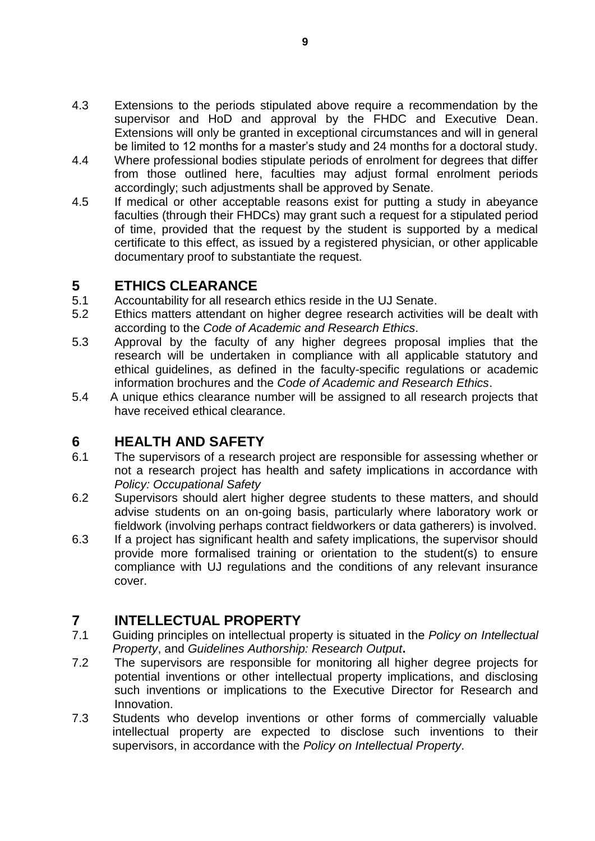- 4.3 Extensions to the periods stipulated above require a recommendation by the supervisor and HoD and approval by the FHDC and Executive Dean. Extensions will only be granted in exceptional circumstances and will in general be limited to 12 months for a master's study and 24 months for a doctoral study.
- 4.4 Where professional bodies stipulate periods of enrolment for degrees that differ from those outlined here, faculties may adjust formal enrolment periods accordingly; such adjustments shall be approved by Senate.
- 4.5 If medical or other acceptable reasons exist for putting a study in abeyance faculties (through their FHDCs) may grant such a request for a stipulated period of time, provided that the request by the student is supported by a medical certificate to this effect, as issued by a registered physician, or other applicable documentary proof to substantiate the request.

### <span id="page-8-0"></span>**5 ETHICS CLEARANCE**

- 5.1 Accountability for all research ethics reside in the UJ Senate.
- 5.2 Ethics matters attendant on higher degree research activities will be dealt with according to the *Code of Academic and Research Ethics*.
- 5.3 Approval by the faculty of any higher degrees proposal implies that the research will be undertaken in compliance with all applicable statutory and ethical guidelines, as defined in the faculty-specific regulations or academic information brochures and the *Code of Academic and Research Ethics*.
- 5.4 A unique ethics clearance number will be assigned to all research projects that have received ethical clearance.

### <span id="page-8-1"></span>**6 HEALTH AND SAFETY**

- 6.1 The supervisors of a research project are responsible for assessing whether or not a research project has health and safety implications in accordance with *Policy: Occupational Safety*
- 6.2 Supervisors should alert higher degree students to these matters, and should advise students on an on-going basis, particularly where laboratory work or fieldwork (involving perhaps contract fieldworkers or data gatherers) is involved.
- 6.3 If a project has significant health and safety implications, the supervisor should provide more formalised training or orientation to the student(s) to ensure compliance with UJ regulations and the conditions of any relevant insurance cover.

### <span id="page-8-2"></span>**7 INTELLECTUAL PROPERTY**

- 7.1 Guiding principles on intellectual property is situated in the *Policy on Intellectual Property*, and *Guidelines Authorship: Research Output***.**
- 7.2 The supervisors are responsible for monitoring all higher degree projects for potential inventions or other intellectual property implications, and disclosing such inventions or implications to the Executive Director for Research and Innovation.
- 7.3 Students who develop inventions or other forms of commercially valuable intellectual property are expected to disclose such inventions to their supervisors, in accordance with the *Policy on Intellectual Property*.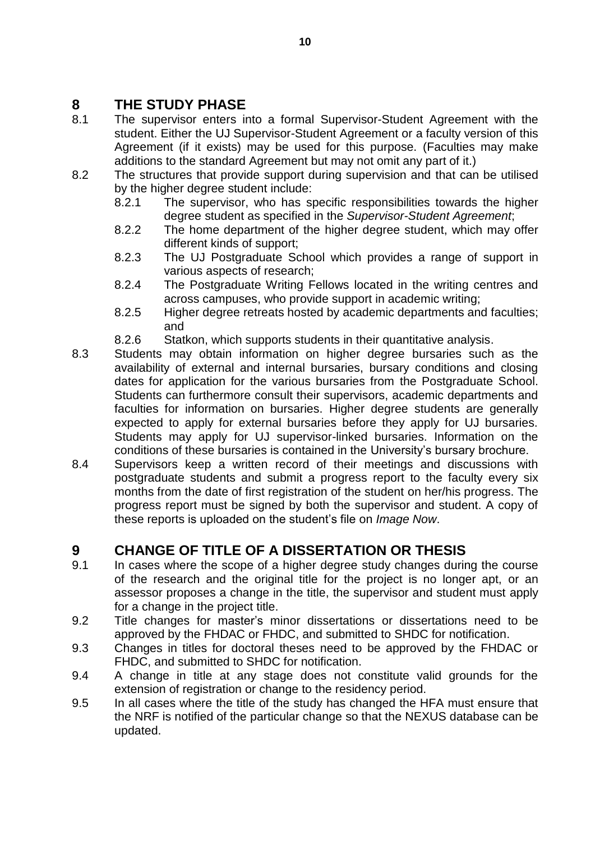## <span id="page-9-0"></span>**8 THE STUDY PHASE**

- 8.1 The supervisor enters into a formal Supervisor-Student Agreement with the student. Either the UJ Supervisor-Student Agreement or a faculty version of this Agreement (if it exists) may be used for this purpose. (Faculties may make additions to the standard Agreement but may not omit any part of it.)
- 8.2 The structures that provide support during supervision and that can be utilised by the higher degree student include:
	- 8.2.1 The supervisor, who has specific responsibilities towards the higher degree student as specified in the *Supervisor-Student Agreement*;
	- 8.2.2 The home department of the higher degree student, which may offer different kinds of support;
	- 8.2.3 The UJ Postgraduate School which provides a range of support in various aspects of research;
	- 8.2.4 The Postgraduate Writing Fellows located in the writing centres and across campuses, who provide support in academic writing;
	- 8.2.5 Higher degree retreats hosted by academic departments and faculties; and
	- 8.2.6 Statkon, which supports students in their quantitative analysis.
- 8.3 Students may obtain information on higher degree bursaries such as the availability of external and internal bursaries, bursary conditions and closing dates for application for the various bursaries from the Postgraduate School. Students can furthermore consult their supervisors, academic departments and faculties for information on bursaries. Higher degree students are generally expected to apply for external bursaries before they apply for UJ bursaries. Students may apply for UJ supervisor-linked bursaries. Information on the conditions of these bursaries is contained in the University's bursary brochure.
- 8.4 Supervisors keep a written record of their meetings and discussions with postgraduate students and submit a progress report to the faculty every six months from the date of first registration of the student on her/his progress. The progress report must be signed by both the supervisor and student. A copy of these reports is uploaded on the student's file on *Image Now*.

## <span id="page-9-1"></span>**9 CHANGE OF TITLE OF A DISSERTATION OR THESIS**

- 9.1 In cases where the scope of a higher degree study changes during the course of the research and the original title for the project is no longer apt, or an assessor proposes a change in the title, the supervisor and student must apply for a change in the project title.
- 9.2 Title changes for master's minor dissertations or dissertations need to be approved by the FHDAC or FHDC, and submitted to SHDC for notification.
- 9.3 Changes in titles for doctoral theses need to be approved by the FHDAC or FHDC, and submitted to SHDC for notification.
- 9.4 A change in title at any stage does not constitute valid grounds for the extension of registration or change to the residency period.
- 9.5 In all cases where the title of the study has changed the HFA must ensure that the NRF is notified of the particular change so that the NEXUS database can be updated.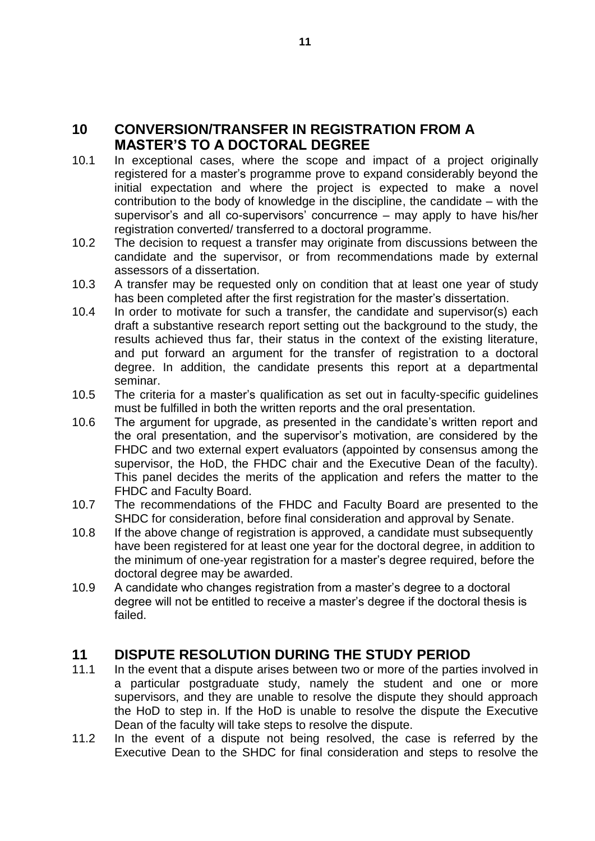### <span id="page-10-0"></span>**10 CONVERSION/TRANSFER IN REGISTRATION FROM A MASTER'S TO A DOCTORAL DEGREE**

- 10.1 In exceptional cases, where the scope and impact of a project originally registered for a master's programme prove to expand considerably beyond the initial expectation and where the project is expected to make a novel contribution to the body of knowledge in the discipline, the candidate – with the supervisor's and all co-supervisors' concurrence – may apply to have his/her registration converted/ transferred to a doctoral programme.
- 10.2 The decision to request a transfer may originate from discussions between the candidate and the supervisor, or from recommendations made by external assessors of a dissertation.
- 10.3 A transfer may be requested only on condition that at least one year of study has been completed after the first registration for the master's dissertation.
- 10.4 In order to motivate for such a transfer, the candidate and supervisor(s) each draft a substantive research report setting out the background to the study, the results achieved thus far, their status in the context of the existing literature, and put forward an argument for the transfer of registration to a doctoral degree. In addition, the candidate presents this report at a departmental seminar.
- 10.5 The criteria for a master's qualification as set out in faculty-specific guidelines must be fulfilled in both the written reports and the oral presentation.
- 10.6 The argument for upgrade, as presented in the candidate's written report and the oral presentation, and the supervisor's motivation, are considered by the FHDC and two external expert evaluators (appointed by consensus among the supervisor, the HoD, the FHDC chair and the Executive Dean of the faculty). This panel decides the merits of the application and refers the matter to the FHDC and Faculty Board.
- 10.7 The recommendations of the FHDC and Faculty Board are presented to the SHDC for consideration, before final consideration and approval by Senate.
- 10.8 If the above change of registration is approved, a candidate must subsequently have been registered for at least one year for the doctoral degree, in addition to the minimum of one-year registration for a master's degree required, before the doctoral degree may be awarded.
- 10.9 A candidate who changes registration from a master's degree to a doctoral degree will not be entitled to receive a master's degree if the doctoral thesis is failed.

### <span id="page-10-1"></span>**11 DISPUTE RESOLUTION DURING THE STUDY PERIOD**

- 11.1 In the event that a dispute arises between two or more of the parties involved in a particular postgraduate study, namely the student and one or more supervisors, and they are unable to resolve the dispute they should approach the HoD to step in. If the HoD is unable to resolve the dispute the Executive Dean of the faculty will take steps to resolve the dispute.
- 11.2 In the event of a dispute not being resolved, the case is referred by the Executive Dean to the SHDC for final consideration and steps to resolve the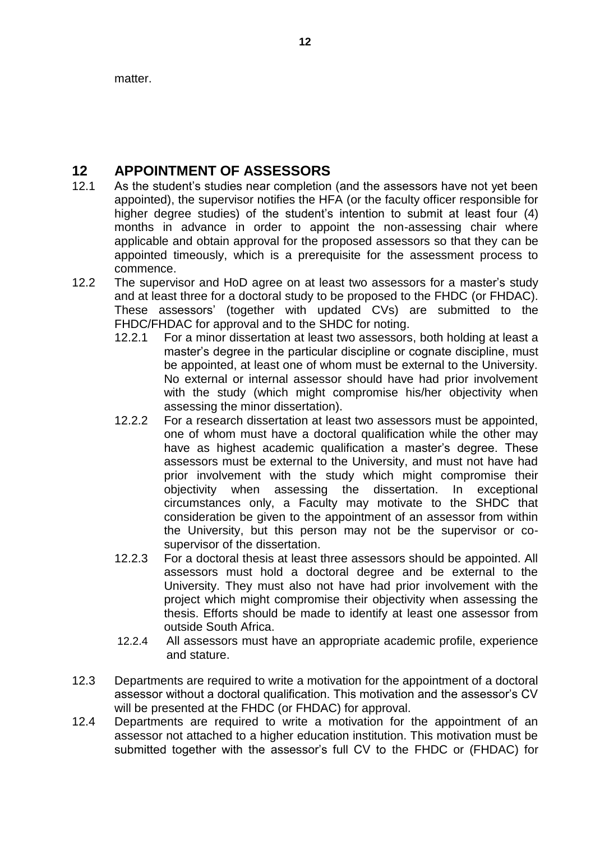matter.

## <span id="page-11-0"></span>**12 APPOINTMENT OF ASSESSORS**

- 12.1 As the student's studies near completion (and the assessors have not yet been appointed), the supervisor notifies the HFA (or the faculty officer responsible for higher degree studies) of the student's intention to submit at least four (4) months in advance in order to appoint the non-assessing chair where applicable and obtain approval for the proposed assessors so that they can be appointed timeously, which is a prerequisite for the assessment process to commence.
- 12.2 The supervisor and HoD agree on at least two assessors for a master's study and at least three for a doctoral study to be proposed to the FHDC (or FHDAC). These assessors' (together with updated CVs) are submitted to the FHDC/FHDAC for approval and to the SHDC for noting.
	- 12.2.1 For a minor dissertation at least two assessors, both holding at least a master's degree in the particular discipline or cognate discipline, must be appointed, at least one of whom must be external to the University. No external or internal assessor should have had prior involvement with the study (which might compromise his/her objectivity when assessing the minor dissertation).
	- 12.2.2 For a research dissertation at least two assessors must be appointed, one of whom must have a doctoral qualification while the other may have as highest academic qualification a master's degree. These assessors must be external to the University, and must not have had prior involvement with the study which might compromise their objectivity when assessing the dissertation. In exceptional circumstances only, a Faculty may motivate to the SHDC that consideration be given to the appointment of an assessor from within the University, but this person may not be the supervisor or cosupervisor of the dissertation.
	- 12.2.3 For a doctoral thesis at least three assessors should be appointed. All assessors must hold a doctoral degree and be external to the University. They must also not have had prior involvement with the project which might compromise their objectivity when assessing the thesis. Efforts should be made to identify at least one assessor from outside South Africa.
	- 12.2.4 All assessors must have an appropriate academic profile, experience and stature.
- 12.3 Departments are required to write a motivation for the appointment of a doctoral assessor without a doctoral qualification. This motivation and the assessor's CV will be presented at the FHDC (or FHDAC) for approval.
- 12.4 Departments are required to write a motivation for the appointment of an assessor not attached to a higher education institution. This motivation must be submitted together with the assessor's full CV to the FHDC or (FHDAC) for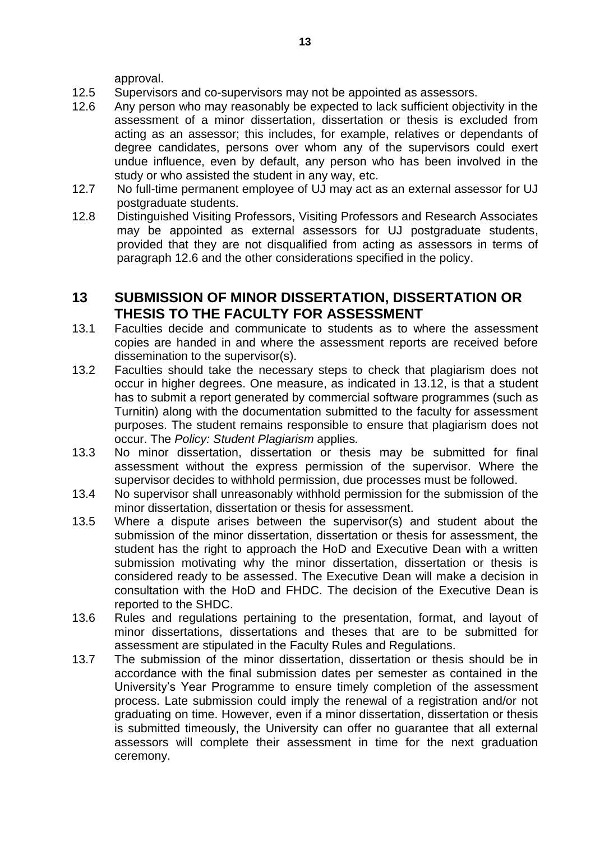approval.

- 12.5 Supervisors and co-supervisors may not be appointed as assessors.
- 12.6 Any person who may reasonably be expected to lack sufficient objectivity in the assessment of a minor dissertation, dissertation or thesis is excluded from acting as an assessor; this includes, for example, relatives or dependants of degree candidates, persons over whom any of the supervisors could exert undue influence, even by default, any person who has been involved in the study or who assisted the student in any way, etc.
- 12.7 No full-time permanent employee of UJ may act as an external assessor for UJ postgraduate students.
- 12.8 Distinguished Visiting Professors, Visiting Professors and Research Associates may be appointed as external assessors for UJ postgraduate students, provided that they are not disqualified from acting as assessors in terms of paragraph 12.6 and the other considerations specified in the policy.

#### <span id="page-12-0"></span>**13 SUBMISSION OF MINOR DISSERTATION, DISSERTATION OR THESIS TO THE FACULTY FOR ASSESSMENT**

- 13.1 Faculties decide and communicate to students as to where the assessment copies are handed in and where the assessment reports are received before dissemination to the supervisor(s).
- 13.2 Faculties should take the necessary steps to check that plagiarism does not occur in higher degrees. One measure, as indicated in 13.12, is that a student has to submit a report generated by commercial software programmes (such as Turnitin) along with the documentation submitted to the faculty for assessment purposes. The student remains responsible to ensure that plagiarism does not occur. The *Policy: Student Plagiarism* applies*.*
- 13.3 No minor dissertation, dissertation or thesis may be submitted for final assessment without the express permission of the supervisor. Where the supervisor decides to withhold permission, due processes must be followed.
- 13.4 No supervisor shall unreasonably withhold permission for the submission of the minor dissertation, dissertation or thesis for assessment.
- 13.5 Where a dispute arises between the supervisor(s) and student about the submission of the minor dissertation, dissertation or thesis for assessment, the student has the right to approach the HoD and Executive Dean with a written submission motivating why the minor dissertation, dissertation or thesis is considered ready to be assessed. The Executive Dean will make a decision in consultation with the HoD and FHDC. The decision of the Executive Dean is reported to the SHDC.
- 13.6 Rules and regulations pertaining to the presentation, format, and layout of minor dissertations, dissertations and theses that are to be submitted for assessment are stipulated in the Faculty Rules and Regulations.
- 13.7 The submission of the minor dissertation, dissertation or thesis should be in accordance with the final submission dates per semester as contained in the University's Year Programme to ensure timely completion of the assessment process. Late submission could imply the renewal of a registration and/or not graduating on time. However, even if a minor dissertation, dissertation or thesis is submitted timeously, the University can offer no guarantee that all external assessors will complete their assessment in time for the next graduation ceremony.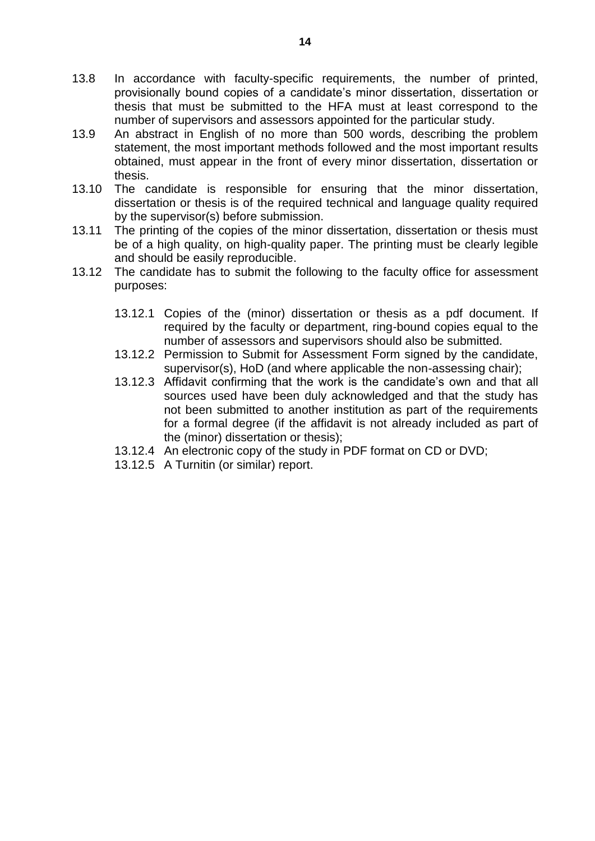- 13.8 In accordance with faculty-specific requirements, the number of printed, provisionally bound copies of a candidate's minor dissertation, dissertation or thesis that must be submitted to the HFA must at least correspond to the number of supervisors and assessors appointed for the particular study.
- 13.9 An abstract in English of no more than 500 words, describing the problem statement, the most important methods followed and the most important results obtained, must appear in the front of every minor dissertation, dissertation or thesis.
- 13.10 The candidate is responsible for ensuring that the minor dissertation, dissertation or thesis is of the required technical and language quality required by the supervisor(s) before submission.
- 13.11 The printing of the copies of the minor dissertation, dissertation or thesis must be of a high quality, on high-quality paper. The printing must be clearly legible and should be easily reproducible.
- 13.12 The candidate has to submit the following to the faculty office for assessment purposes:
	- 13.12.1 Copies of the (minor) dissertation or thesis as a pdf document. If required by the faculty or department, ring-bound copies equal to the number of assessors and supervisors should also be submitted.
	- 13.12.2 Permission to Submit for Assessment Form signed by the candidate, supervisor(s), HoD (and where applicable the non-assessing chair);
	- 13.12.3 Affidavit confirming that the work is the candidate's own and that all sources used have been duly acknowledged and that the study has not been submitted to another institution as part of the requirements for a formal degree (if the affidavit is not already included as part of the (minor) dissertation or thesis);
	- 13.12.4 An electronic copy of the study in PDF format on CD or DVD;
	- 13.12.5 A Turnitin (or similar) report.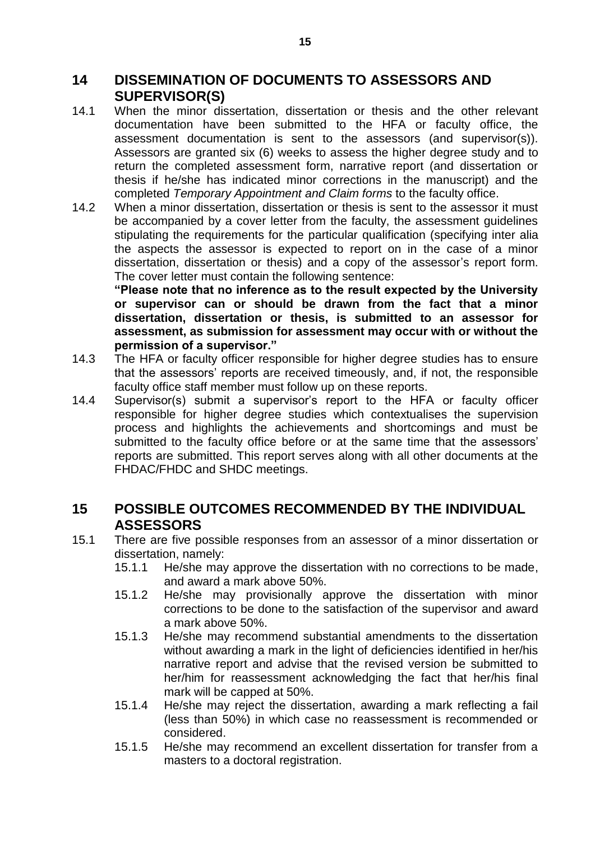#### <span id="page-14-0"></span>**14 DISSEMINATION OF DOCUMENTS TO ASSESSORS AND SUPERVISOR(S)**

- 14.1 When the minor dissertation, dissertation or thesis and the other relevant documentation have been submitted to the HFA or faculty office, the assessment documentation is sent to the assessors (and supervisor(s)). Assessors are granted six (6) weeks to assess the higher degree study and to return the completed assessment form, narrative report (and dissertation or thesis if he/she has indicated minor corrections in the manuscript) and the completed *Temporary Appointment and Claim forms* to the faculty office.
- 14.2 When a minor dissertation, dissertation or thesis is sent to the assessor it must be accompanied by a cover letter from the faculty, the assessment guidelines stipulating the requirements for the particular qualification (specifying inter alia the aspects the assessor is expected to report on in the case of a minor dissertation, dissertation or thesis) and a copy of the assessor's report form. The cover letter must contain the following sentence:

**"Please note that no inference as to the result expected by the University or supervisor can or should be drawn from the fact that a minor dissertation, dissertation or thesis, is submitted to an assessor for assessment, as submission for assessment may occur with or without the permission of a supervisor."**

- 14.3 The HFA or faculty officer responsible for higher degree studies has to ensure that the assessors' reports are received timeously, and, if not, the responsible faculty office staff member must follow up on these reports.
- 14.4 Supervisor(s) submit a supervisor's report to the HFA or faculty officer responsible for higher degree studies which contextualises the supervision process and highlights the achievements and shortcomings and must be submitted to the faculty office before or at the same time that the assessors' reports are submitted. This report serves along with all other documents at the FHDAC/FHDC and SHDC meetings.

### <span id="page-14-1"></span>**15 POSSIBLE OUTCOMES RECOMMENDED BY THE INDIVIDUAL ASSESSORS**

- 15.1 There are five possible responses from an assessor of a minor dissertation or dissertation, namely:
	- 15.1.1 He/she may approve the dissertation with no corrections to be made, and award a mark above 50%.
	- 15.1.2 He/she may provisionally approve the dissertation with minor corrections to be done to the satisfaction of the supervisor and award a mark above 50%.
	- 15.1.3 He/she may recommend substantial amendments to the dissertation without awarding a mark in the light of deficiencies identified in her/his narrative report and advise that the revised version be submitted to her/him for reassessment acknowledging the fact that her/his final mark will be capped at 50%.
	- 15.1.4 He/she may reject the dissertation, awarding a mark reflecting a fail (less than 50%) in which case no reassessment is recommended or considered.
	- 15.1.5 He/she may recommend an excellent dissertation for transfer from a masters to a doctoral registration.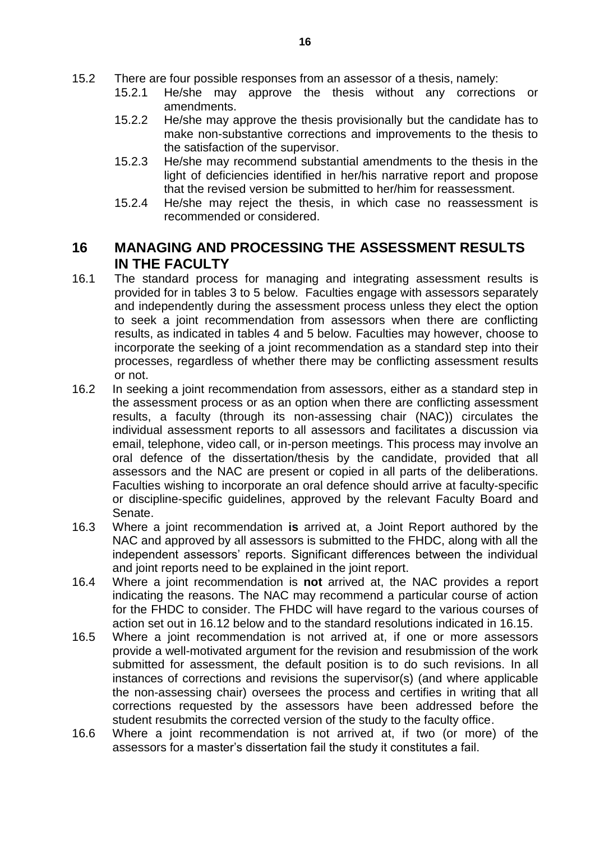- 15.2 There are four possible responses from an assessor of a thesis, namely:
	- 15.2.1 He/she may approve the thesis without any corrections or amendments.
	- 15.2.2 He/she may approve the thesis provisionally but the candidate has to make non-substantive corrections and improvements to the thesis to the satisfaction of the supervisor.
	- 15.2.3 He/she may recommend substantial amendments to the thesis in the light of deficiencies identified in her/his narrative report and propose that the revised version be submitted to her/him for reassessment.
	- 15.2.4 He/she may reject the thesis, in which case no reassessment is recommended or considered.

#### <span id="page-15-0"></span>**16 MANAGING AND PROCESSING THE ASSESSMENT RESULTS IN THE FACULTY**

- 16.1 The standard process for managing and integrating assessment results is provided for in tables 3 to 5 below. Faculties engage with assessors separately and independently during the assessment process unless they elect the option to seek a joint recommendation from assessors when there are conflicting results, as indicated in tables 4 and 5 below. Faculties may however, choose to incorporate the seeking of a joint recommendation as a standard step into their processes, regardless of whether there may be conflicting assessment results or not.
- 16.2 In seeking a joint recommendation from assessors, either as a standard step in the assessment process or as an option when there are conflicting assessment results, a faculty (through its non-assessing chair (NAC)) circulates the individual assessment reports to all assessors and facilitates a discussion via email, telephone, video call, or in-person meetings. This process may involve an oral defence of the dissertation/thesis by the candidate, provided that all assessors and the NAC are present or copied in all parts of the deliberations. Faculties wishing to incorporate an oral defence should arrive at faculty-specific or discipline-specific guidelines, approved by the relevant Faculty Board and Senate.
- 16.3 Where a joint recommendation **is** arrived at, a Joint Report authored by the NAC and approved by all assessors is submitted to the FHDC, along with all the independent assessors' reports. Significant differences between the individual and joint reports need to be explained in the joint report.
- 16.4 Where a joint recommendation is **not** arrived at, the NAC provides a report indicating the reasons. The NAC may recommend a particular course of action for the FHDC to consider. The FHDC will have regard to the various courses of action set out in 16.12 below and to the standard resolutions indicated in 16.15.
- 16.5 Where a joint recommendation is not arrived at, if one or more assessors provide a well-motivated argument for the revision and resubmission of the work submitted for assessment, the default position is to do such revisions. In all instances of corrections and revisions the supervisor(s) (and where applicable the non-assessing chair) oversees the process and certifies in writing that all corrections requested by the assessors have been addressed before the student resubmits the corrected version of the study to the faculty office.
- 16.6 Where a joint recommendation is not arrived at, if two (or more) of the assessors for a master's dissertation fail the study it constitutes a fail.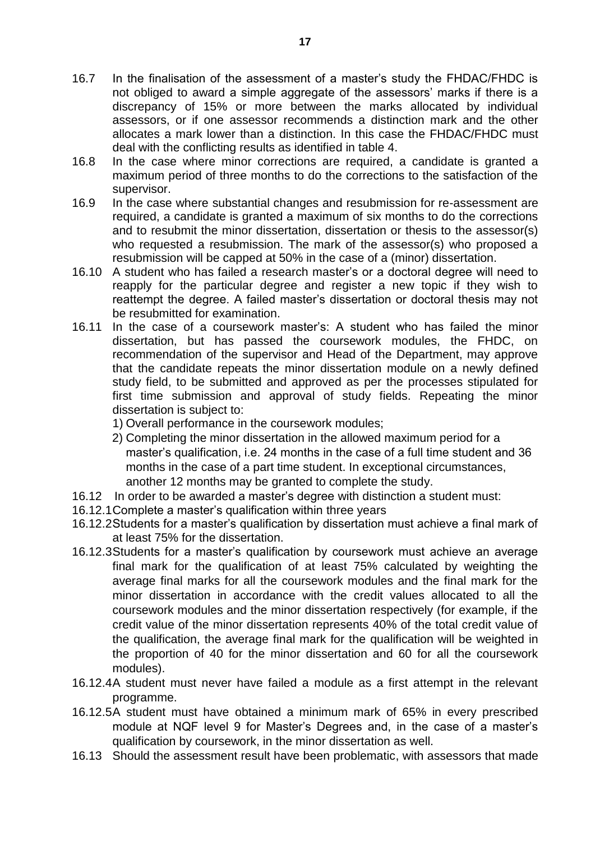- 16.7 In the finalisation of the assessment of a master's study the FHDAC/FHDC is not obliged to award a simple aggregate of the assessors' marks if there is a discrepancy of 15% or more between the marks allocated by individual assessors, or if one assessor recommends a distinction mark and the other allocates a mark lower than a distinction. In this case the FHDAC/FHDC must deal with the conflicting results as identified in table 4.
- 16.8 In the case where minor corrections are required, a candidate is granted a maximum period of three months to do the corrections to the satisfaction of the supervisor.
- 16.9 In the case where substantial changes and resubmission for re-assessment are required, a candidate is granted a maximum of six months to do the corrections and to resubmit the minor dissertation, dissertation or thesis to the assessor(s) who requested a resubmission. The mark of the assessor(s) who proposed a resubmission will be capped at 50% in the case of a (minor) dissertation.
- 16.10 A student who has failed a research master's or a doctoral degree will need to reapply for the particular degree and register a new topic if they wish to reattempt the degree. A failed master's dissertation or doctoral thesis may not be resubmitted for examination.
- 16.11 In the case of a coursework master's: A student who has failed the minor dissertation, but has passed the coursework modules, the FHDC, on recommendation of the supervisor and Head of the Department, may approve that the candidate repeats the minor dissertation module on a newly defined study field, to be submitted and approved as per the processes stipulated for first time submission and approval of study fields. Repeating the minor dissertation is subject to:
	- 1) Overall performance in the coursework modules;
	- 2) Completing the minor dissertation in the allowed maximum period for a master's qualification, i.e. 24 months in the case of a full time student and 36 months in the case of a part time student. In exceptional circumstances, another 12 months may be granted to complete the study.
- 16.12 In order to be awarded a master's degree with distinction a student must:
- 16.12.1Complete a master's qualification within three years
- 16.12.2Students for a master's qualification by dissertation must achieve a final mark of at least 75% for the dissertation.
- 16.12.3Students for a master's qualification by coursework must achieve an average final mark for the qualification of at least 75% calculated by weighting the average final marks for all the coursework modules and the final mark for the minor dissertation in accordance with the credit values allocated to all the coursework modules and the minor dissertation respectively (for example, if the credit value of the minor dissertation represents 40% of the total credit value of the qualification, the average final mark for the qualification will be weighted in the proportion of 40 for the minor dissertation and 60 for all the coursework modules).
- 16.12.4A student must never have failed a module as a first attempt in the relevant programme.
- 16.12.5A student must have obtained a minimum mark of 65% in every prescribed module at NQF level 9 for Master's Degrees and, in the case of a master's qualification by coursework, in the minor dissertation as well.
- 16.13 Should the assessment result have been problematic, with assessors that made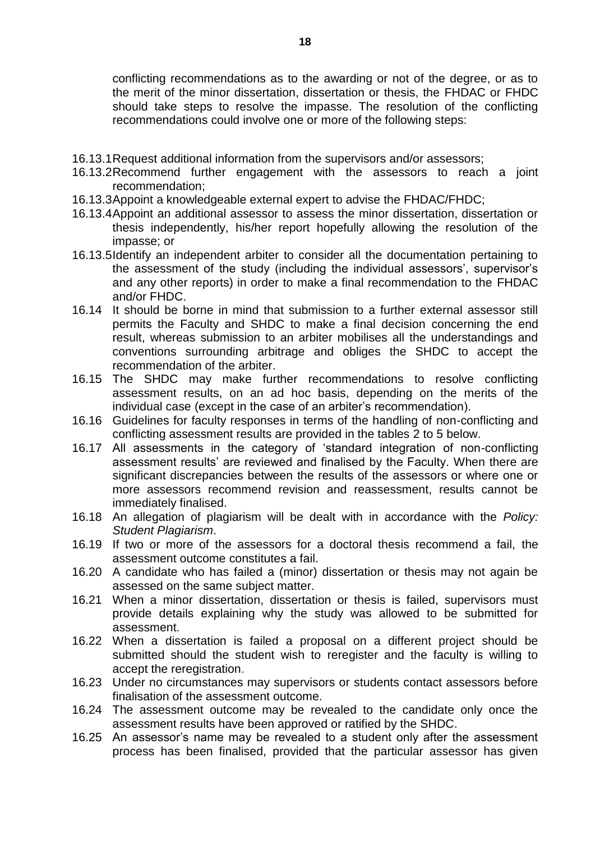conflicting recommendations as to the awarding or not of the degree, or as to the merit of the minor dissertation, dissertation or thesis, the FHDAC or FHDC should take steps to resolve the impasse. The resolution of the conflicting recommendations could involve one or more of the following steps:

- 16.13.1Request additional information from the supervisors and/or assessors;
- 16.13.2Recommend further engagement with the assessors to reach a joint recommendation;
- 16.13.3Appoint a knowledgeable external expert to advise the FHDAC/FHDC;
- 16.13.4Appoint an additional assessor to assess the minor dissertation, dissertation or thesis independently, his/her report hopefully allowing the resolution of the impasse; or
- 16.13.5Identify an independent arbiter to consider all the documentation pertaining to the assessment of the study (including the individual assessors', supervisor's and any other reports) in order to make a final recommendation to the FHDAC and/or FHDC.
- 16.14 It should be borne in mind that submission to a further external assessor still permits the Faculty and SHDC to make a final decision concerning the end result, whereas submission to an arbiter mobilises all the understandings and conventions surrounding arbitrage and obliges the SHDC to accept the recommendation of the arbiter.
- 16.15 The SHDC may make further recommendations to resolve conflicting assessment results, on an ad hoc basis, depending on the merits of the individual case (except in the case of an arbiter's recommendation).
- 16.16 Guidelines for faculty responses in terms of the handling of non-conflicting and conflicting assessment results are provided in the tables 2 to 5 below.
- 16.17 All assessments in the category of 'standard integration of non-conflicting assessment results' are reviewed and finalised by the Faculty. When there are significant discrepancies between the results of the assessors or where one or more assessors recommend revision and reassessment, results cannot be immediately finalised.
- 16.18 An allegation of plagiarism will be dealt with in accordance with the *Policy: Student Plagiarism*.
- 16.19 If two or more of the assessors for a doctoral thesis recommend a fail, the assessment outcome constitutes a fail.
- 16.20 A candidate who has failed a (minor) dissertation or thesis may not again be assessed on the same subject matter.
- 16.21 When a minor dissertation, dissertation or thesis is failed, supervisors must provide details explaining why the study was allowed to be submitted for assessment.
- 16.22 When a dissertation is failed a proposal on a different project should be submitted should the student wish to reregister and the faculty is willing to accept the reregistration.
- 16.23 Under no circumstances may supervisors or students contact assessors before finalisation of the assessment outcome.
- 16.24 The assessment outcome may be revealed to the candidate only once the assessment results have been approved or ratified by the SHDC.
- 16.25 An assessor's name may be revealed to a student only after the assessment process has been finalised, provided that the particular assessor has given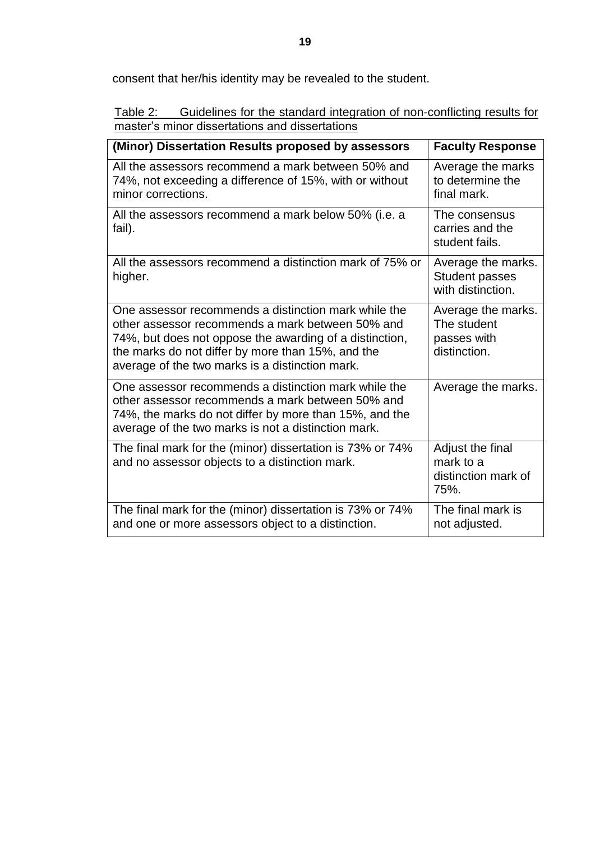consent that her/his identity may be revealed to the student.

| Table 2: | Guidelines for the standard integration of non-conflicting results for |
|----------|------------------------------------------------------------------------|
|          | master's minor dissertations and dissertations                         |

| (Minor) Dissertation Results proposed by assessors                                                                                                                                                                                                                          | <b>Faculty Response</b>                                          |
|-----------------------------------------------------------------------------------------------------------------------------------------------------------------------------------------------------------------------------------------------------------------------------|------------------------------------------------------------------|
| All the assessors recommend a mark between 50% and<br>74%, not exceeding a difference of 15%, with or without<br>minor corrections.                                                                                                                                         | Average the marks<br>to determine the<br>final mark.             |
| All the assessors recommend a mark below 50% (i.e. a<br>fail).                                                                                                                                                                                                              | The consensus<br>carries and the<br>student fails.               |
| All the assessors recommend a distinction mark of 75% or<br>higher.                                                                                                                                                                                                         | Average the marks.<br><b>Student passes</b><br>with distinction. |
| One assessor recommends a distinction mark while the<br>other assessor recommends a mark between 50% and<br>74%, but does not oppose the awarding of a distinction,<br>the marks do not differ by more than 15%, and the<br>average of the two marks is a distinction mark. | Average the marks.<br>The student<br>passes with<br>distinction. |
| One assessor recommends a distinction mark while the<br>other assessor recommends a mark between 50% and<br>74%, the marks do not differ by more than 15%, and the<br>average of the two marks is not a distinction mark.                                                   | Average the marks.                                               |
| The final mark for the (minor) dissertation is 73% or 74%<br>and no assessor objects to a distinction mark.                                                                                                                                                                 | Adjust the final<br>mark to a<br>distinction mark of<br>75%.     |
| The final mark for the (minor) dissertation is 73% or 74%<br>and one or more assessors object to a distinction.                                                                                                                                                             | The final mark is<br>not adjusted.                               |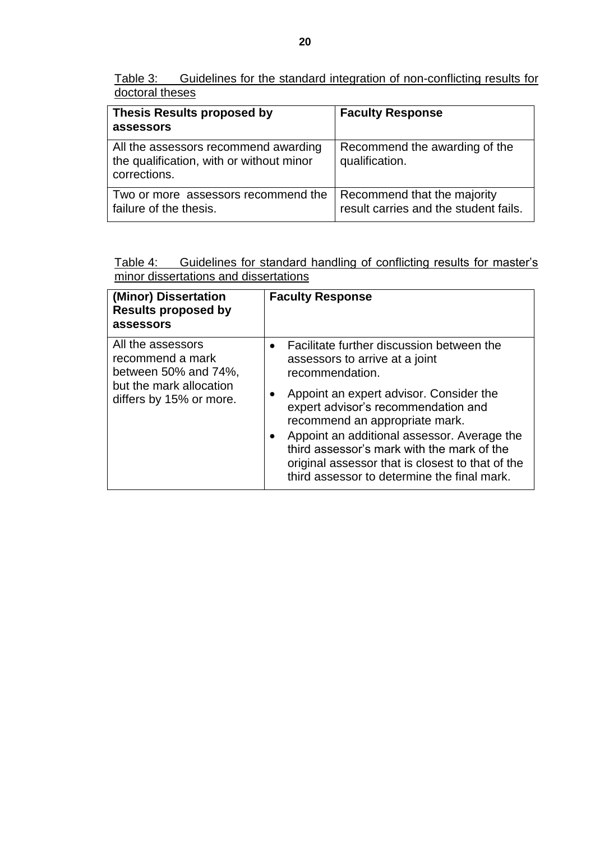Table 3: Guidelines for the standard integration of non-conflicting results for doctoral theses

| <b>Thesis Results proposed by</b><br>assessors                                                   | <b>Faculty Response</b>                                              |
|--------------------------------------------------------------------------------------------------|----------------------------------------------------------------------|
| All the assessors recommend awarding<br>the qualification, with or without minor<br>corrections. | Recommend the awarding of the<br>qualification.                      |
| Two or more assessors recommend the<br>failure of the thesis.                                    | Recommend that the majority<br>result carries and the student fails. |

Table 4: Guidelines for standard handling of conflicting results for master's minor dissertations and dissertations

| (Minor) Dissertation<br><b>Results proposed by</b><br>assessors                                                            | <b>Faculty Response</b>                                                                                                                                                                                                                                                                                                                                                                                                         |
|----------------------------------------------------------------------------------------------------------------------------|---------------------------------------------------------------------------------------------------------------------------------------------------------------------------------------------------------------------------------------------------------------------------------------------------------------------------------------------------------------------------------------------------------------------------------|
| All the assessors<br>recommend a mark<br>between $50\%$ and $74\%$ .<br>but the mark allocation<br>differs by 15% or more. | Facilitate further discussion between the<br>$\bullet$<br>assessors to arrive at a joint<br>recommendation.<br>Appoint an expert advisor. Consider the<br>expert advisor's recommendation and<br>recommend an appropriate mark.<br>Appoint an additional assessor. Average the<br>third assessor's mark with the mark of the<br>original assessor that is closest to that of the<br>third assessor to determine the final mark. |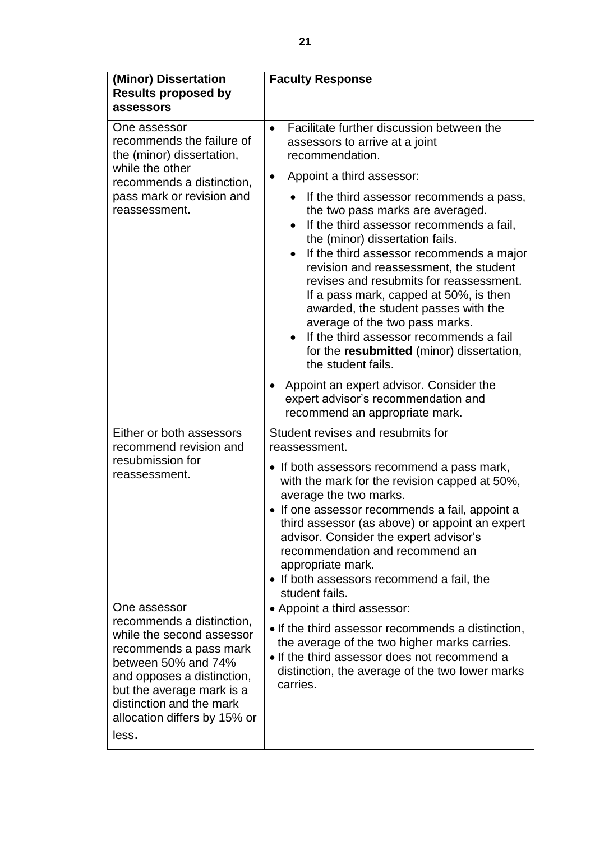| (Minor) Dissertation<br><b>Results proposed by</b><br>assessors                                                                                                                                                                         | <b>Faculty Response</b>                                                                                                                                                                                                                                                                                                                                                                                                                                                                                                                     |  |  |
|-----------------------------------------------------------------------------------------------------------------------------------------------------------------------------------------------------------------------------------------|---------------------------------------------------------------------------------------------------------------------------------------------------------------------------------------------------------------------------------------------------------------------------------------------------------------------------------------------------------------------------------------------------------------------------------------------------------------------------------------------------------------------------------------------|--|--|
| One assessor<br>recommends the failure of<br>the (minor) dissertation,                                                                                                                                                                  | Facilitate further discussion between the<br>$\bullet$<br>assessors to arrive at a joint<br>recommendation.                                                                                                                                                                                                                                                                                                                                                                                                                                 |  |  |
| while the other<br>recommends a distinction,                                                                                                                                                                                            | Appoint a third assessor:<br>$\bullet$                                                                                                                                                                                                                                                                                                                                                                                                                                                                                                      |  |  |
| pass mark or revision and<br>reassessment.                                                                                                                                                                                              | If the third assessor recommends a pass,<br>the two pass marks are averaged.<br>If the third assessor recommends a fail,<br>the (minor) dissertation fails.<br>If the third assessor recommends a major<br>$\bullet$<br>revision and reassessment, the student<br>revises and resubmits for reassessment.<br>If a pass mark, capped at 50%, is then<br>awarded, the student passes with the<br>average of the two pass marks.<br>If the third assessor recommends a fail<br>for the resubmitted (minor) dissertation,<br>the student fails. |  |  |
|                                                                                                                                                                                                                                         | Appoint an expert advisor. Consider the<br>expert advisor's recommendation and<br>recommend an appropriate mark.                                                                                                                                                                                                                                                                                                                                                                                                                            |  |  |
| Either or both assessors<br>recommend revision and                                                                                                                                                                                      | Student revises and resubmits for<br>reassessment.                                                                                                                                                                                                                                                                                                                                                                                                                                                                                          |  |  |
| resubmission for<br>reassessment.                                                                                                                                                                                                       | • If both assessors recommend a pass mark,<br>with the mark for the revision capped at 50%,<br>average the two marks.<br>• If one assessor recommends a fail, appoint a<br>third assessor (as above) or appoint an expert<br>advisor. Consider the expert advisor's<br>recommendation and recommend an<br>appropriate mark.<br>• If both assessors recommend a fail, the<br>student fails.                                                                                                                                                  |  |  |
| One assessor                                                                                                                                                                                                                            | • Appoint a third assessor:                                                                                                                                                                                                                                                                                                                                                                                                                                                                                                                 |  |  |
| recommends a distinction,<br>while the second assessor<br>recommends a pass mark<br>between 50% and 74%<br>and opposes a distinction,<br>but the average mark is a<br>distinction and the mark<br>allocation differs by 15% or<br>less. | • If the third assessor recommends a distinction,<br>the average of the two higher marks carries.<br>. If the third assessor does not recommend a<br>distinction, the average of the two lower marks<br>carries.                                                                                                                                                                                                                                                                                                                            |  |  |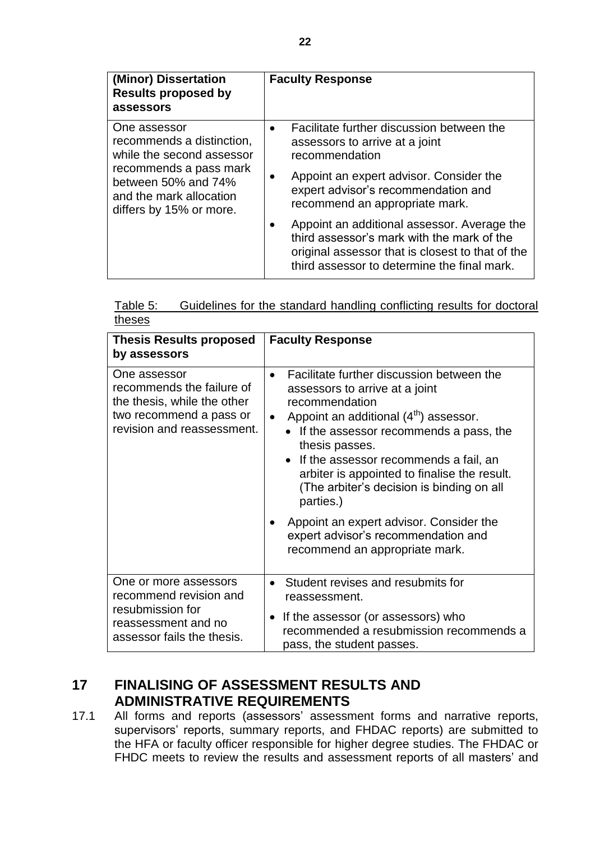| (Minor) Dissertation<br><b>Results proposed by</b><br>assessors                                     | <b>Faculty Response</b>                                                                                                                                                                      |
|-----------------------------------------------------------------------------------------------------|----------------------------------------------------------------------------------------------------------------------------------------------------------------------------------------------|
| One assessor<br>recommends a distinction,<br>while the second assessor                              | Facilitate further discussion between the<br>assessors to arrive at a joint<br>recommendation                                                                                                |
| recommends a pass mark<br>between 50% and 74%<br>and the mark allocation<br>differs by 15% or more. | Appoint an expert advisor. Consider the<br>expert advisor's recommendation and<br>recommend an appropriate mark.                                                                             |
|                                                                                                     | Appoint an additional assessor. Average the<br>third assessor's mark with the mark of the<br>original assessor that is closest to that of the<br>third assessor to determine the final mark. |

| Table 5: | Guidelines for the standard handling conflicting results for doctoral |  |  |  |
|----------|-----------------------------------------------------------------------|--|--|--|
| theses   |                                                                       |  |  |  |

| <b>Thesis Results proposed</b><br>by assessors                                                                                    | <b>Faculty Response</b>                                                                                                                                                                                                                                                                                                                                                                                                                                                                               |
|-----------------------------------------------------------------------------------------------------------------------------------|-------------------------------------------------------------------------------------------------------------------------------------------------------------------------------------------------------------------------------------------------------------------------------------------------------------------------------------------------------------------------------------------------------------------------------------------------------------------------------------------------------|
| One assessor<br>recommends the failure of<br>the thesis, while the other<br>two recommend a pass or<br>revision and reassessment. | Facilitate further discussion between the<br>$\bullet$<br>assessors to arrive at a joint<br>recommendation<br>Appoint an additional (4 <sup>th</sup> ) assessor.<br>If the assessor recommends a pass, the<br>thesis passes.<br>• If the assessor recommends a fail, an<br>arbiter is appointed to finalise the result.<br>(The arbiter's decision is binding on all<br>parties.)<br>Appoint an expert advisor. Consider the<br>expert advisor's recommendation and<br>recommend an appropriate mark. |
| One or more assessors<br>recommend revision and<br>resubmission for<br>reassessment and no<br>assessor fails the thesis.          | Student revises and resubmits for<br>reassessment.<br>If the assessor (or assessors) who<br>recommended a resubmission recommends a<br>pass, the student passes.                                                                                                                                                                                                                                                                                                                                      |

## <span id="page-21-0"></span>**17 FINALISING OF ASSESSMENT RESULTS AND ADMINISTRATIVE REQUIREMENTS**

17.1 All forms and reports (assessors' assessment forms and narrative reports, supervisors' reports, summary reports, and FHDAC reports) are submitted to the HFA or faculty officer responsible for higher degree studies. The FHDAC or FHDC meets to review the results and assessment reports of all masters' and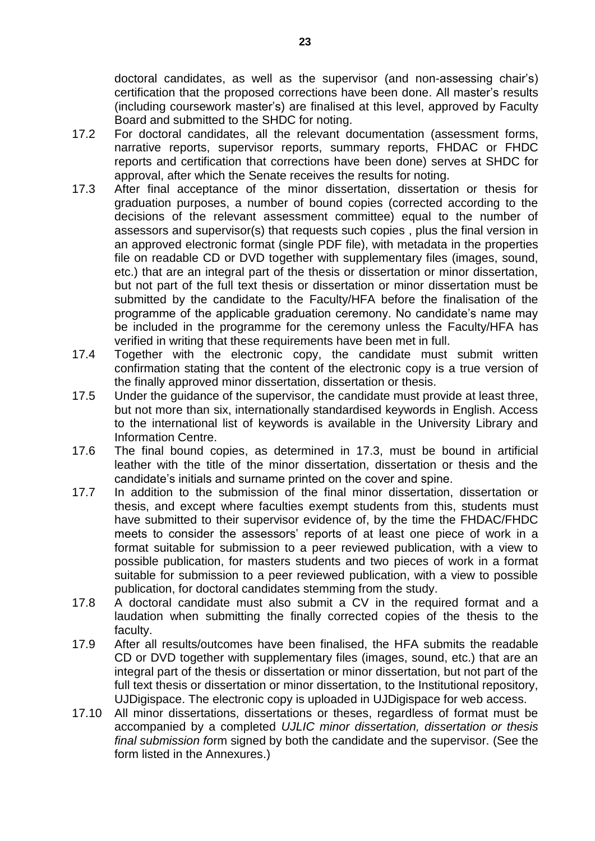doctoral candidates, as well as the supervisor (and non-assessing chair's) certification that the proposed corrections have been done. All master's results (including coursework master's) are finalised at this level, approved by Faculty Board and submitted to the SHDC for noting.

- 17.2 For doctoral candidates, all the relevant documentation (assessment forms, narrative reports, supervisor reports, summary reports, FHDAC or FHDC reports and certification that corrections have been done) serves at SHDC for approval, after which the Senate receives the results for noting.
- 17.3 After final acceptance of the minor dissertation, dissertation or thesis for graduation purposes, a number of bound copies (corrected according to the decisions of the relevant assessment committee) equal to the number of assessors and supervisor(s) that requests such copies , plus the final version in an approved electronic format (single PDF file), with metadata in the properties file on readable CD or DVD together with supplementary files (images, sound, etc.) that are an integral part of the thesis or dissertation or minor dissertation, but not part of the full text thesis or dissertation or minor dissertation must be submitted by the candidate to the Faculty/HFA before the finalisation of the programme of the applicable graduation ceremony. No candidate's name may be included in the programme for the ceremony unless the Faculty/HFA has verified in writing that these requirements have been met in full.
- 17.4 Together with the electronic copy, the candidate must submit written confirmation stating that the content of the electronic copy is a true version of the finally approved minor dissertation, dissertation or thesis.
- 17.5 Under the guidance of the supervisor, the candidate must provide at least three, but not more than six, internationally standardised keywords in English. Access to the international list of keywords is available in the University Library and Information Centre.
- 17.6 The final bound copies, as determined in 17.3, must be bound in artificial leather with the title of the minor dissertation, dissertation or thesis and the candidate's initials and surname printed on the cover and spine.
- 17.7 In addition to the submission of the final minor dissertation, dissertation or thesis, and except where faculties exempt students from this, students must have submitted to their supervisor evidence of, by the time the FHDAC/FHDC meets to consider the assessors' reports of at least one piece of work in a format suitable for submission to a peer reviewed publication, with a view to possible publication, for masters students and two pieces of work in a format suitable for submission to a peer reviewed publication, with a view to possible publication, for doctoral candidates stemming from the study.
- 17.8 A doctoral candidate must also submit a CV in the required format and a laudation when submitting the finally corrected copies of the thesis to the faculty.
- 17.9 After all results/outcomes have been finalised, the HFA submits the readable CD or DVD together with supplementary files (images, sound, etc.) that are an integral part of the thesis or dissertation or minor dissertation, but not part of the full text thesis or dissertation or minor dissertation, to the Institutional repository, UJDigispace. The electronic copy is uploaded in UJDigispace for web access.
- 17.10 All minor dissertations, dissertations or theses, regardless of format must be accompanied by a completed *UJLIC minor dissertation, dissertation or thesis final submission fo*rm signed by both the candidate and the supervisor. (See the form listed in the Annexures.)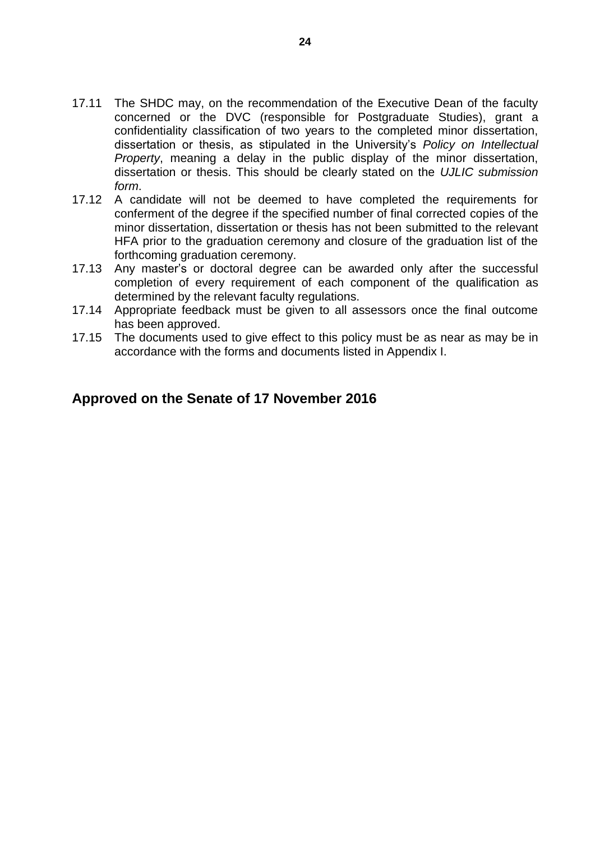- 17.11 The SHDC may, on the recommendation of the Executive Dean of the faculty concerned or the DVC (responsible for Postgraduate Studies), grant a confidentiality classification of two years to the completed minor dissertation, dissertation or thesis, as stipulated in the University's *Policy on Intellectual Property*, meaning a delay in the public display of the minor dissertation, dissertation or thesis. This should be clearly stated on the *UJLIC submission form*.
- 17.12 A candidate will not be deemed to have completed the requirements for conferment of the degree if the specified number of final corrected copies of the minor dissertation, dissertation or thesis has not been submitted to the relevant HFA prior to the graduation ceremony and closure of the graduation list of the forthcoming graduation ceremony.
- 17.13 Any master's or doctoral degree can be awarded only after the successful completion of every requirement of each component of the qualification as determined by the relevant faculty regulations.
- 17.14 Appropriate feedback must be given to all assessors once the final outcome has been approved.
- 17.15 The documents used to give effect to this policy must be as near as may be in accordance with the forms and documents listed in Appendix I.

#### **Approved on the Senate of 17 November 2016**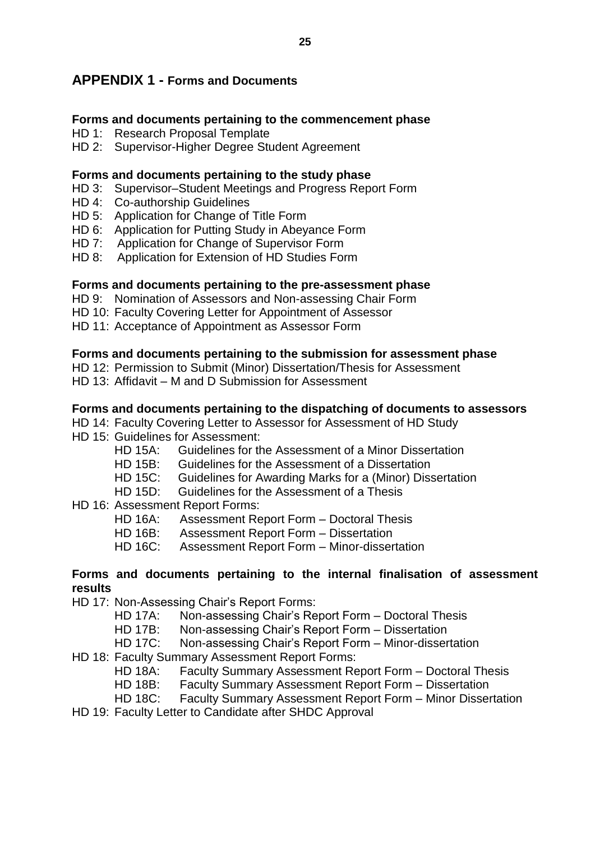#### <span id="page-24-0"></span>**APPENDIX 1 - Forms and Documents**

#### **Forms and documents pertaining to the commencement phase**

- HD 1: Research Proposal Template
- HD 2: Supervisor-Higher Degree Student Agreement

#### **Forms and documents pertaining to the study phase**

- HD 3: Supervisor–Student Meetings and Progress Report Form
- HD 4: Co-authorship Guidelines
- HD 5: Application for Change of Title Form
- HD 6: Application for Putting Study in Abeyance Form
- HD 7: Application for Change of Supervisor Form
- HD 8: Application for Extension of HD Studies Form

#### **Forms and documents pertaining to the pre-assessment phase**

- HD 9: Nomination of Assessors and Non-assessing Chair Form
- HD 10: Faculty Covering Letter for Appointment of Assessor
- HD 11: Acceptance of Appointment as Assessor Form

#### **Forms and documents pertaining to the submission for assessment phase**

- HD 12: Permission to Submit (Minor) Dissertation/Thesis for Assessment
- HD 13: Affidavit M and D Submission for Assessment

#### **Forms and documents pertaining to the dispatching of documents to assessors**

- HD 14: Faculty Covering Letter to Assessor for Assessment of HD Study
- HD 15: Guidelines for Assessment:
	- HD 15A: Guidelines for the Assessment of a Minor Dissertation
	- HD 15B: Guidelines for the Assessment of a Dissertation
	- HD 15C: Guidelines for Awarding Marks for a (Minor) Dissertation
	- HD 15D: Guidelines for the Assessment of a Thesis

#### HD 16: Assessment Report Forms:

- HD 16A: Assessment Report Form Doctoral Thesis
- HD 16B: Assessment Report Form Dissertation
- HD 16C: Assessment Report Form Minor-dissertation

#### **Forms and documents pertaining to the internal finalisation of assessment results**

- HD 17: Non-Assessing Chair's Report Forms:
	- HD 17A: Non-assessing Chair's Report Form Doctoral Thesis
	- HD 17B: Non-assessing Chair's Report Form Dissertation
	- HD 17C: Non-assessing Chair's Report Form Minor-dissertation
- HD 18: Faculty Summary Assessment Report Forms:
	- HD 18A: Faculty Summary Assessment Report Form Doctoral Thesis
	- HD 18B: Faculty Summary Assessment Report Form Dissertation
	- HD 18C: Faculty Summary Assessment Report Form Minor Dissertation
- HD 19: Faculty Letter to Candidate after SHDC Approval